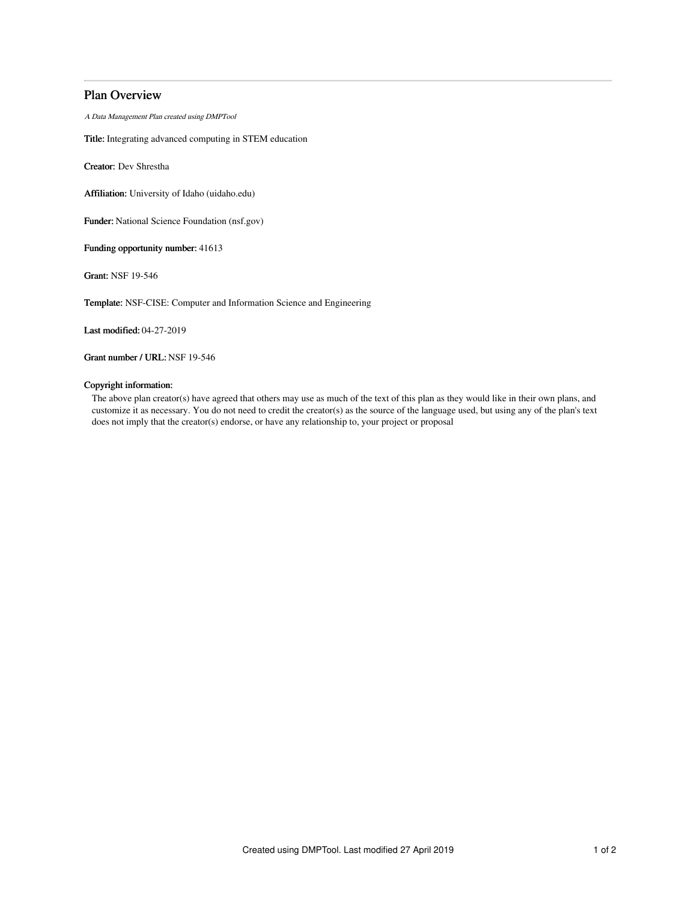# Plan Overview

A Data Management Plan created using DMPTool

Title: Integrating advanced computing in STEM education

Creator: Dev Shrestha

Affiliation: University of Idaho (uidaho.edu)

Funder: National Science Foundation (nsf.gov)

Funding opportunity number: 41613

Grant: NSF 19-546

Template: NSF-CISE: Computer and Information Science and Engineering

Last modified: 04-27-2019

Grant number / URL: NSF 19-546

## Copyright information:

The above plan creator(s) have agreed that others may use as much of the text of this plan as they would like in their own plans, and customize it as necessary. You do not need to credit the creator(s) as the source of the language used, but using any of the plan's text does not imply that the creator(s) endorse, or have any relationship to, your project or proposal